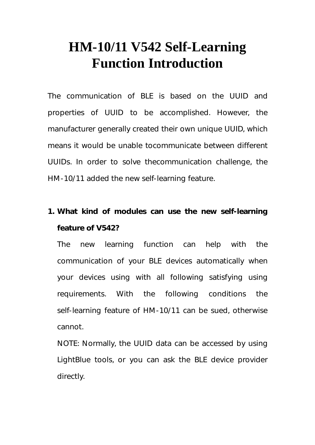## **HM-10/11 V542 Self-Learning Function Introduction**

The communication of BLE is based on the UUID and properties of UUID to be accomplished. However, the manufacturer generally created their own unique UUID, which means it would be unable tocommunicate between different UUIDs. In order to solve thecommunication challenge, the HM-10/11 added the new self-learning feature.

## **1. What kind of modules can use the new self-learning feature of V542?**

The new learning function can help with the communication of your BLE devices automatically when your devices using with all following satisfying using requirements. With the following conditions the self-learning feature of HM-10/11 can be sued, otherwise cannot.

NOTE: Normally, the UUID data can be accessed by using LightBlue tools, or you can ask the BLE device provider directly.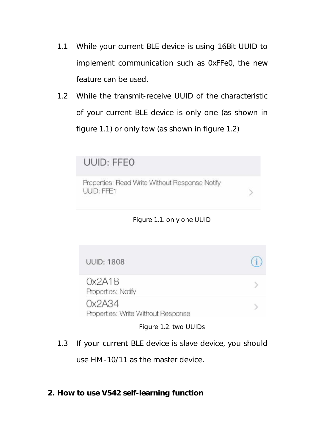- 1.1 While your current BLE device is using 16Bit UUID to implement communication such as 0xFFe0, the new feature can be used.
- 1.2 While the transmit-receive UUID of the characteristic of your current BLE device is only one (as shown in figure 1.1) or only tow (as shown in figure 1.2)

| UUID: FFEO                                                   |  |
|--------------------------------------------------------------|--|
| Properties: Read Write Without Response Notify<br>UUID: FFE1 |  |



**UUID: 1808**  $Ox2A18$ Properties: Notify  $Ox2A34$  $\mathcal{P}$ Properties: Write Without Response

Figure 1.2. two UUIDs

- 1.3 If your current BLE device is slave device, you should use HM-10/11 as the master device.
- **2. How to use V542 self-learning function**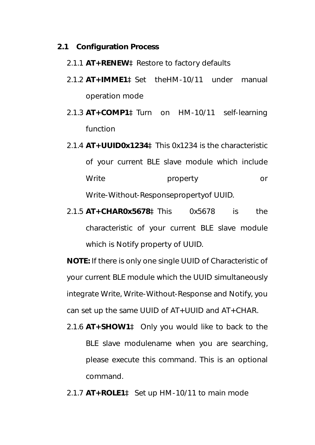- **2.1 Configuration Process** 
	- 2.1.1 **AT+RENEW**àRestore to factory defaults
	- 2.1.2 **AT+IMME1**àSet theHM-10/11 under manual operation mode
	- 2.1.3 **AT+COMP1**àTurn on HM-10/11 self-learning function
	- 2.1.4 **AT+UUID0x1234**àThis 0x1234 is the characteristic of your current BLE slave module which include Write **property** or Write-Without-Responsepropertyof UUID.
	- 2.1.5 **AT+CHAR0x5678**àThis 0x5678 is the characteristic of your current BLE slave module which is Notify property of UUID.

**NOTE:** If there is only one single UUID of Characteristic of your current BLE module which the UUID simultaneously integrate Write, Write-Without-Response and Notify, you can set up the same UUID of AT+UUID and AT+CHAR.

2.1.6 **AT+SHOW1**à Only you would like to back to the BLE slave modulename when you are searching, please execute this command. This is an optional command.

2.1.7 **AT+ROLE1**à Set up HM-10/11 to main mode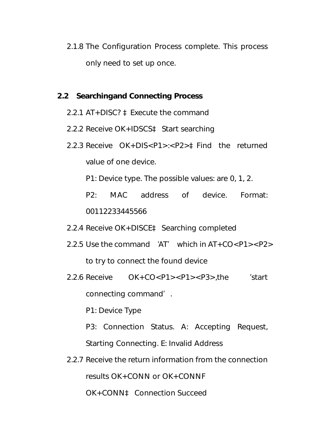2.1.8 The Configuration Process complete. This process only need to set up once.

## **2.2 Searchingand Connecting Process**

- 2.2.1 AT+DISC? àExecute the command
- 2.2.2 Receive OK+IDSCSà Start searching
- 2.2.3 Receive OK+DIS<P1>:<P2>àFind the returned value of one device.

P1: Device type. The possible values: are 0, 1, 2.

P2: MAC address of device. Format: 00112233445566

2.2.4 Receive OK+DISCEà Searching completed

- 2.2.5 Use the command 'AT' which in AT+CO<P1><P2> to try to connect the found device
- 2.2.6 Receive OK+CO<P1><P1><P3>,the 'start connecting command'.

P1: Device Type

- P3: Connection Status. A: Accepting Request, Starting Connecting. E: Invalid Address
- 2.2.7 Receive the return information from the connection results OK+CONN or OK+CONNF

OK+CONNà Connection Succeed